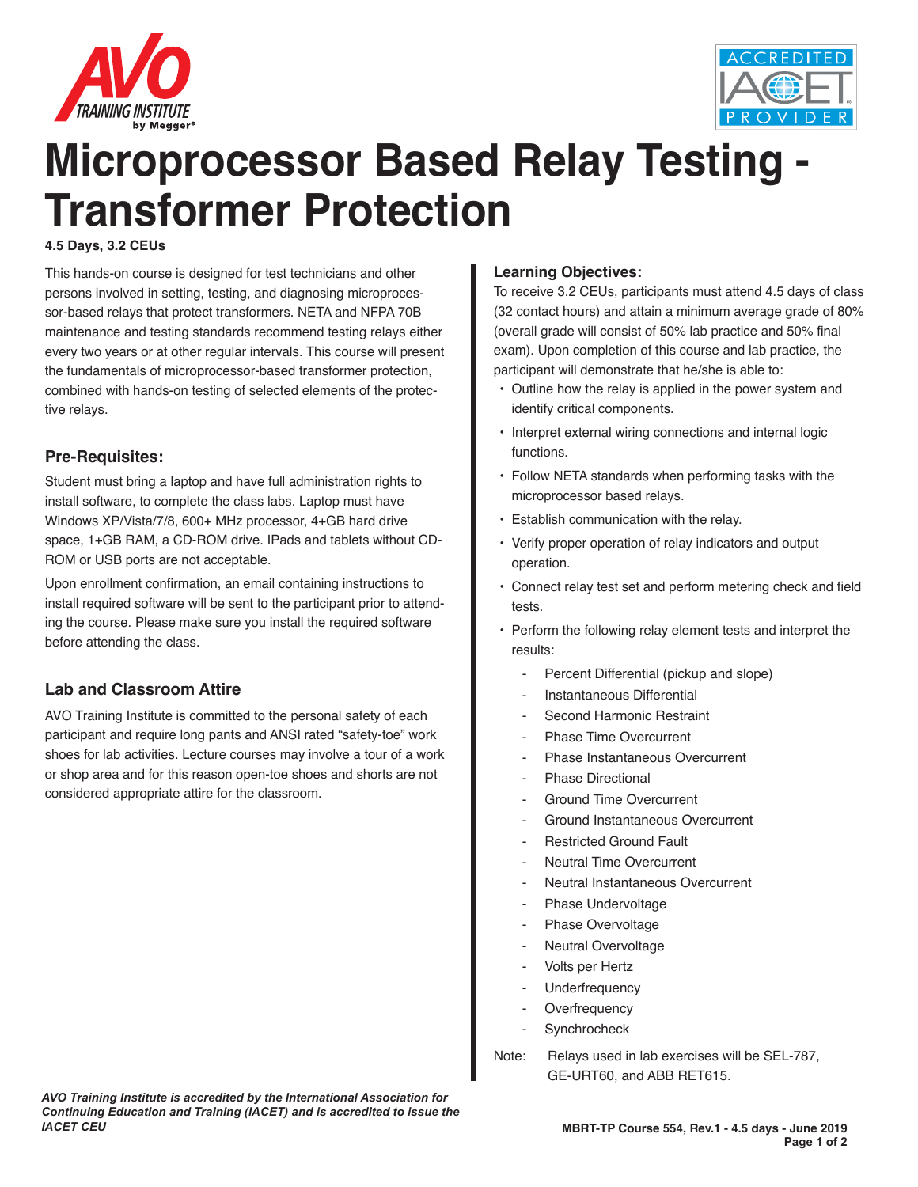



# **Microprocessor Based Relay Testing Transformer Protection**

#### **4.5 Days, 3.2 CEUs**

This hands-on course is designed for test technicians and other persons involved in setting, testing, and diagnosing microprocessor-based relays that protect transformers. NETA and NFPA 70B maintenance and testing standards recommend testing relays either every two years or at other regular intervals. This course will present the fundamentals of microprocessor-based transformer protection, combined with hands-on testing of selected elements of the protective relays.

#### **Pre-Requisites:**

Student must bring a laptop and have full administration rights to install software, to complete the class labs. Laptop must have Windows XP/Vista/7/8, 600+ MHz processor, 4+GB hard drive space, 1+GB RAM, a CD-ROM drive. IPads and tablets without CD-ROM or USB ports are not acceptable.

Upon enrollment confirmation, an email containing instructions to install required software will be sent to the participant prior to attending the course. Please make sure you install the required software before attending the class.

## **Lab and Classroom Attire**

AVO Training Institute is committed to the personal safety of each participant and require long pants and ANSI rated "safety-toe" work shoes for lab activities. Lecture courses may involve a tour of a work or shop area and for this reason open-toe shoes and shorts are not considered appropriate attire for the classroom.

#### **Learning Objectives:**

To receive 3.2 CEUs, participants must attend 4.5 days of class (32 contact hours) and attain a minimum average grade of 80% (overall grade will consist of 50% lab practice and 50% final exam). Upon completion of this course and lab practice, the participant will demonstrate that he/she is able to:

- Outline how the relay is applied in the power system and identify critical components.
- Interpret external wiring connections and internal logic functions.
- Follow NETA standards when performing tasks with the microprocessor based relays.
- Establish communication with the relay.
- Verify proper operation of relay indicators and output operation.
- Connect relay test set and perform metering check and field tests.
- Perform the following relay element tests and interpret the results:
	- Percent Differential (pickup and slope)
	- Instantaneous Differential
	- Second Harmonic Restraint
	- Phase Time Overcurrent
	- Phase Instantaneous Overcurrent
	- Phase Directional
	- Ground Time Overcurrent
	- Ground Instantaneous Overcurrent
	- Restricted Ground Fault
	- Neutral Time Overcurrent
	- Neutral Instantaneous Overcurrent
	- Phase Undervoltage
	- Phase Overvoltage
	- Neutral Overvoltage
	- Volts per Hertz
	- **Underfrequency**
	- Overfrequency
	- **Synchrocheck**
- Note: Relays used in lab exercises will be SEL-787, GE-URT60, and ABB RET615.

*AVO Training Institute is accredited by the International Association for Continuing Education and Training (IACET) and is accredited to issue the IACET CEU*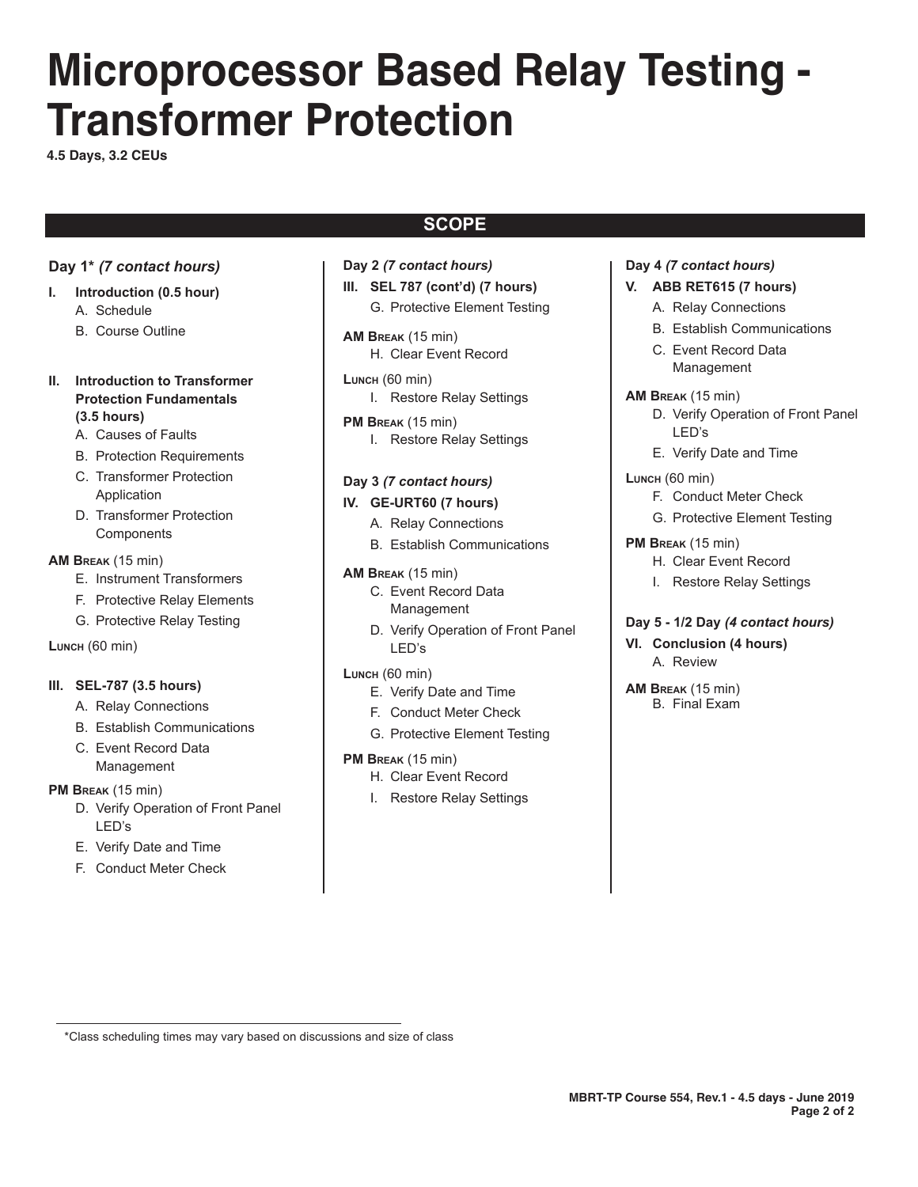# **Microprocessor Based Relay Testing - Transformer Protection**

**4.5 Days, 3.2 CEUs**

# **SCOPE**

# **Day 1\*** *(7 contact hours)*

- **I. Introduction (0.5 hour)** A. Schedule
	- B. Course Outline
- **II.** Introduction to Transformer **Protection Fundamentals ........ (3.5 hours)**
	- A. Causes of Faults
	- B. Protection Requirements
	- C. Transformer Protection Application
	- D. Transformer Protection **Components**

**AM Break** (15 min)

- E. Instrument Transformers
- F. Protective Relay Elements
- G. Protective Relay Testing

**Lunch** (60 min)

#### **III. SEL-787 (3.5 hours)**

- A. Relay Connections
- B. Establish Communications
- C. Event Record Data Management

**PM Break** (15 min)

- D. Verify Operation of Front Panel LED's
- E. Verify Date and Time
- F. Conduct Meter Check
- **Day 2** *(7 contact hours)* **III. SEL 787 (cont'd) (7 hours)**
	- G. Protective Element Testing
- **AM Break** (15 min) H. Clear Event Record
- **Lunch** (60 min) I. Restore Relay Settings
- **PM Break** (15 min) I. Restore Relay Settings

## **Day 3** *(7 contact hours)*

#### **IV. GE-URT60 (7 hours)**

- A. Relay Connections
- B. Establish Communications

#### **AM Break** (15 min)

- C. Event Record Data Management
- D. Verify Operation of Front Panel LED's
- **Lunch** (60 min)
	- E. Verify Date and Time
	- F. Conduct Meter Check
	- G. Protective Element Testing
- **PM Break** (15 min)
	- H. Clear Event Record
	- I. Restore Relay Settings

# **Day 4** *(7 contact hours)*

- **V. ABB RET615 (7 hours)**
	- A. Relay Connections
	- B. Establish Communications
	- C. Event Record Data Management
- **AM Break** (15 min)
	- D. Verify Operation of Front Panel LED's
	- E. Verify Date and Time
- **Lunch** (60 min)
	- F. Conduct Meter Check
	- G. Protective Element Testing
- **PM Break** (15 min)
	- H. Clear Event Record
	- I. Restore Relay Settings

#### **Day 5 - 1/2 Day** *(4 contact hours)*

- **VI. Conclusion (4 hours)** A. Review
- **AM Break** (15 min) B. Final Exam

 <sup>\*</sup>Class scheduling times may vary based on discussions and size of class